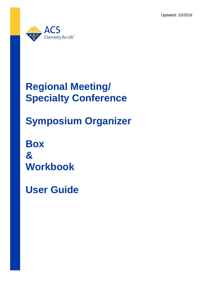Updated: 10/2016



## **Regional Meeting/ Specialty Conference**

# **Symposium Organizer**

**Box & Workbook**

**User Guide**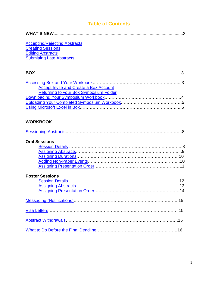## **Table of Contents**

| <b>Accepting/Rejecting Abstracts</b><br><b>Creating Sessions</b><br><b>Editing Abstracts</b><br><b>Submitting Late Abstracts</b> |
|----------------------------------------------------------------------------------------------------------------------------------|
|                                                                                                                                  |
| <b>Accept Invite and Create a Box Account</b><br><b>Returning to your Box Symposium Folder</b>                                   |
| <b>WORKBOOK</b>                                                                                                                  |
| <b>Oral Sessions</b>                                                                                                             |
| <b>Poster Sessions</b>                                                                                                           |
|                                                                                                                                  |
|                                                                                                                                  |
|                                                                                                                                  |
|                                                                                                                                  |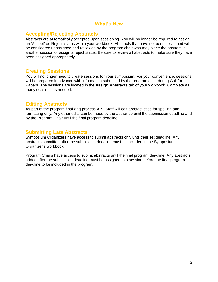### **What's New**

### <span id="page-2-0"></span>**Accepting/Rejecting Abstracts**

Abstracts are automatically accepted upon sessioning. You will no longer be required to assign an 'Accept' or 'Reject' status within your workbook. Abstracts that have not been sessioned will be considered unassigned and reviewed by the program chair who may place the abstract in another session or assign a reject status. Be sure to review all abstracts to make sure they have been assigned appropriately.

#### <span id="page-2-1"></span>**Creating Sessions**

You will no longer need to create sessions for your symposium. For your convenience, sessions will be prepared in advance with information submitted by the program chair during Call for Papers. The sessions are located in the **Assign Abstracts** tab of your workbook. Complete as many sessions as needed.

#### <span id="page-2-2"></span>**Editing Abstracts**

As part of the program finalizing process APT Staff will edit abstract titles for spelling and formatting only. Any other edits can be made by the author up until the submission deadline and by the Program Chair until the final program deadline.

## <span id="page-2-3"></span>**Submitting Late Abstracts**

Symposium Organizers have access to submit abstracts only until their set deadline. Any abstracts submitted after the submission deadline must be included in the Symposium Organizer's workbook.

Program Chairs have access to submit abstracts until the final program deadline. Any abstracts added after the submission deadline must be assigned to a session before the final program deadline to be included in the program.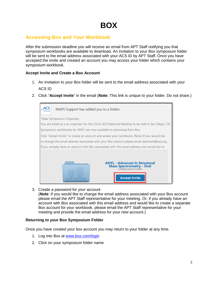## <span id="page-3-0"></span>**Accessing Box and Your Workbook**

After the submission deadline you will receive an email from APT Staff notifying you that symposium workbooks are available to download. An invitation to your Box symposium folder will be sent to the email address associated with your ACS ID by APT Staff. Once you have accepted the invite and created an account you may access your folder which contains your symposium workbook.

#### <span id="page-3-1"></span>**Accept Invite and Create a Box Account**

- 1. An invitation to your Box folder will be sent to the email address associated with your ACS ID
- 2. Click "**Accept Invite**" in the email (**Note:** This link is unique to your folder. Do not share.)



3. Create a password for your account (**Note**: If you would like to change the email address associated with your Box account

please email the APT Staff representative for your meeting. Or, if you already have an account with Box associated with this email address and would like to create a separate Box account for your workbook, please email the APT Staff representative for your meeting and provide the email address for your new account.)

#### <span id="page-3-2"></span>**Returning to your Box Symposium Folder**

Once you have created your box account you may return to your folder at any time.

- 1. Log into Box at [www.box.com/login](http://www.box.com/login)
- 2. Click on your symposium folder name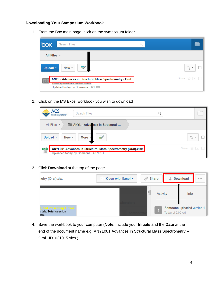#### <span id="page-4-0"></span>**Downloading Your Symposium Workbook**

1. From the Box main page, click on the symposium folder

| box<br>Search Files                                                                                                                |                             |
|------------------------------------------------------------------------------------------------------------------------------------|-----------------------------|
| All Files $\sim$                                                                                                                   |                             |
| $\overrightarrow{y}$<br>New -<br>Upload +                                                                                          | ↑, →                        |
| ANYL - Advances in Structural Mass Spectrometry - Oral<br><b>Owned by American Chemical Society</b><br>Updated today by Someone #1 | Share $\sqrt{x}$ $\sqrt{x}$ |

2. Click on the MS Excel workbook you wish to download

| <b>ACS</b><br>Search Files<br>Chemistry for Life*                                                                      |                                   |
|------------------------------------------------------------------------------------------------------------------------|-----------------------------------|
| ANYL - Adva ces in Structural<br>All Files -                                                                           |                                   |
| More -<br>ヺ<br>Upload -<br>New -                                                                                       | ↑լ ≁                              |
| ANYL001 Advances in Structural Mass Spectrometry (Oral).xlsx<br>$rac{XLSX}{\Box}$<br>Uploaded today by Someone 43.9 KB | Share $\frac{1}{2}$ $\frac{1}{2}$ |

#### 3. Click **Download** at the top of the page

| netry (Oral).xlsx                             | Open with Excel - | $\mathcal{P}$ Share   | <b>Download</b>                                | 0.0.0 |
|-----------------------------------------------|-------------------|-----------------------|------------------------------------------------|-------|
|                                               |                   | A.<br>E.<br>Activity  | Info                                           |       |
| sentina Autho<br>s tab. Total session<br>nce. |                   | $\overline{\uparrow}$ | Someone uploaded version 1<br>Today at 9:09 AM |       |

4. Save the workbook to your computer (**Note**: Include your **Initials** and the **Date** at the end of the document name e.g. ANYL001 Advances in Structural Mass Spectrometry – Oral\_JD\_031015.xlxs.)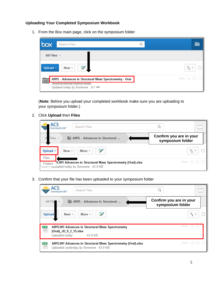#### <span id="page-5-0"></span>**Uploading Your Completed Symposium Workbook**

1. From the Box main page, click on the symposium folder

| box<br>Search Files                                                                                                                                  |                             |
|------------------------------------------------------------------------------------------------------------------------------------------------------|-----------------------------|
| All Files $\sim$                                                                                                                                     |                             |
| $\overrightarrow{y}$<br>New -<br>Upload $\sim$                                                                                                       | ↑, →                        |
| ANYL - Advances in Structural Mass Spectrometry - Oral<br>o <sub>0</sub><br><b>Owned by American Chemical Society</b><br>Updated today by Someone #1 | Share $\sqrt{x}$ $\sqrt{x}$ |

(**Note**: Before you upload your completed workbook make sure you are uploading to your symposium folder.)

2. Click **Upload** then **Files**

| ACS<br>Search Files<br>Chemistry for Life®                                                                 |                                                 |  |
|------------------------------------------------------------------------------------------------------------|-------------------------------------------------|--|
| ANYL - Advances in Structural<br>Files -                                                                   | Confirm you are in your<br>symposium folder     |  |
| More *<br>₩<br>Upload -<br>New -<br>Files                                                                  |                                                 |  |
| 7L001 Advances in Structural Mass Spectrometry (Oral).xlsx<br>Folders<br>oppoaded today by Someone 43.9 KB | Share $\frac{1}{2}$ $\frac{1}{2}$ $\frac{1}{2}$ |  |

3. Confirm that your file has been uploaded to your symposium folder

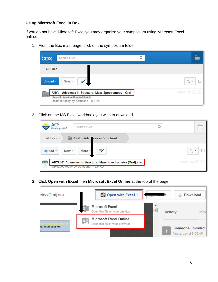#### <span id="page-6-0"></span>**Using Microsoft Excel in Box**

If you do not have Microsoft Excel you may organize your symposium using Microsoft Excel online.

1. From the Box main page, click on the symposium folder

| box              | Search Files                                                                                                                         |                                   |
|------------------|--------------------------------------------------------------------------------------------------------------------------------------|-----------------------------------|
| All Files $\sim$ |                                                                                                                                      |                                   |
| Upload +         | 三<br>New -                                                                                                                           | ↑, →                              |
|                  | ANYL - Advances in Structural Mass Spectrometry - Oral<br><b>Owned by American Chemical Society</b><br>Updated today by Someone ■1 ® | Share $\frac{1}{2}$ $\frac{1}{2}$ |

2. Click on the MS Excel workbook you wish to download

| <b>ACS</b><br>Search Files<br>Chemistry for Life*                                                                      |                             |
|------------------------------------------------------------------------------------------------------------------------|-----------------------------|
| ANYL - Adva ces in Structural<br>All Files $\sim$                                                                      |                             |
| More -<br>$\blacksquare$<br>Upload -<br>New -                                                                          | ↑լ -                        |
| ANYL001 Advances in Structural Mass Spectrometry (Oral).xlsx<br>$rac{XLSX}{\Box}$<br>Uploaded today by Someone 43.9 KB | Share $\sqrt{x}$ $\sqrt{x}$ |

3. Click **Open with Excel** then **Microsoft Excel Online** at the top of the page

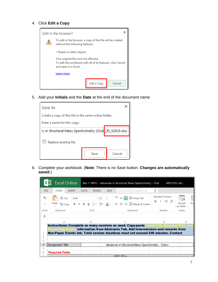#### 4. Click **Edit a Copy**

|                                                                                                                                | <b>Edit in the browser?</b>                                                                   |  |  |  |  |
|--------------------------------------------------------------------------------------------------------------------------------|-----------------------------------------------------------------------------------------------|--|--|--|--|
|                                                                                                                                | To edit in the browser, a copy of the file will be created<br>without the following features: |  |  |  |  |
| • Shapes or other objects                                                                                                      |                                                                                               |  |  |  |  |
| Your original file won't be affected.<br>To edit this workbook with all of its features, click Cancel<br>and open it in Excel. |                                                                                               |  |  |  |  |
|                                                                                                                                | Learn more                                                                                    |  |  |  |  |
|                                                                                                                                | Edit a Copy<br>Cancel                                                                         |  |  |  |  |

5. Add your **Initials** and the **Date** at the end of the document name

| Save As                                               |      |        |  |  |
|-------------------------------------------------------|------|--------|--|--|
| Create a copy of this file in the same online folder. |      |        |  |  |
| Enter a name for this copy:                           |      |        |  |  |
| s in Structural Mass Spectrometry (Oral JD_32415.xlsx |      |        |  |  |
| Replace existing file                                 |      |        |  |  |
|                                                       | Save | Cancel |  |  |

6. Complete your workbook. (**Note**: There is no Save button. **Changes are automatically saved**.)

|                | x≣<br><b>Excel Online</b>                                                                                                                                                                                                                                                         |                              | Box ▶ ANYL - Advances in Structural Mass Spectrometry - Oral                                                                                                                                                                                                                                                                                                                       |                                                                     | ANYL001 Ad                         |  |
|----------------|-----------------------------------------------------------------------------------------------------------------------------------------------------------------------------------------------------------------------------------------------------------------------------------|------------------------------|------------------------------------------------------------------------------------------------------------------------------------------------------------------------------------------------------------------------------------------------------------------------------------------------------------------------------------------------------------------------------------|---------------------------------------------------------------------|------------------------------------|--|
| <b>FILE</b>    | <b>HOME</b><br><b>INSERT</b>                                                                                                                                                                                                                                                      | <b>DATA</b><br><b>REVIEW</b> | <b>VIEW</b><br>Tell me what you want to do                                                                                                                                                                                                                                                                                                                                         |                                                                     |                                    |  |
| ь<br>Θ         |                                                                                                                                                                                                                                                                                   |                              | <b>X</b> Cut   Arial $\cdot$  11 $\cdot$   $\equiv$ $\equiv$ $\equiv$ $\stackrel{?}{\equiv}$ $\stackrel{?}{\equiv}$ Wrap Text<br>Paste $\left \mathbb{B}_{\text{Copy}}\right $ <b>B</b> $I$ <b>U Q</b> $\left \mathbb{H}\right \cdot$ $\left \mathbb{D}\right \cdot$ $\mathbf{A}\cdot$ $\left \mathbb{B}\right \equiv\mathbb{B}$ $\equiv$ $\left \mathbb{E}\right $ Merge & Center | Number Format *<br>$\frac{96}{6}$ , $\frac{60}{10}$ $\frac{10}{10}$ | ⊞î<br>Insi<br>Format<br>as Table - |  |
| Undo           | Clipboard                                                                                                                                                                                                                                                                         | Font                         | Alignment                                                                                                                                                                                                                                                                                                                                                                          | Number                                                              | <b>Tables</b>                      |  |
| $f_x$          |                                                                                                                                                                                                                                                                                   |                              |                                                                                                                                                                                                                                                                                                                                                                                    |                                                                     |                                    |  |
|                |                                                                                                                                                                                                                                                                                   | B                            |                                                                                                                                                                                                                                                                                                                                                                                    |                                                                     | E                                  |  |
|                | Instructions: Complete as many sessions as need. Copy-paste Control ID, Abstract Title, and<br>Presenting Author i <b>nformation from Abstracts Tab. Add intermissions and remarks from</b><br>Non-Paper Events tab. Total session durations must not exceed 240 minutes. Contact |                              |                                                                                                                                                                                                                                                                                                                                                                                    |                                                                     |                                    |  |
| 2              |                                                                                                                                                                                                                                                                                   |                              |                                                                                                                                                                                                                                                                                                                                                                                    |                                                                     |                                    |  |
| 3<br>4         |                                                                                                                                                                                                                                                                                   |                              |                                                                                                                                                                                                                                                                                                                                                                                    |                                                                     |                                    |  |
| 5              | Symposium Title:                                                                                                                                                                                                                                                                  |                              | Advances in Structural Mass Spectrometry - Oral u                                                                                                                                                                                                                                                                                                                                  |                                                                     |                                    |  |
| 6              | *Required Fields                                                                                                                                                                                                                                                                  |                              |                                                                                                                                                                                                                                                                                                                                                                                    |                                                                     |                                    |  |
| $\overline{7}$ |                                                                                                                                                                                                                                                                                   |                              | $\triangle NN1$ $001a$                                                                                                                                                                                                                                                                                                                                                             |                                                                     |                                    |  |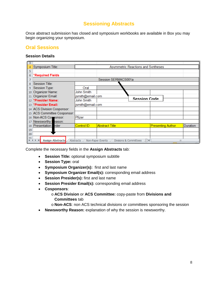## **Sessioning Abstracts**

<span id="page-8-0"></span>Once abstract submission has closed and symposium workbooks are available in Box you may begin organizing your symposium.

## **Oral Sessions**

#### <span id="page-8-1"></span>**Session Details**

| 3                 |                                |                                           |                                                    |                          |          |
|-------------------|--------------------------------|-------------------------------------------|----------------------------------------------------|--------------------------|----------|
| 4                 | Symposium Title:               | <b>Asymmetric Reactions and Syntheses</b> |                                                    |                          |          |
| 5                 |                                |                                           |                                                    |                          |          |
| 6                 | *Required Fields               |                                           |                                                    |                          |          |
| 7                 |                                |                                           | Session SERMACS001a                                |                          |          |
| 8                 | Session Title:                 |                                           |                                                    |                          |          |
| 9                 | Session Type:                  | Oral                                      |                                                    |                          |          |
| 10                | Organizer Name:                | John Smith                                |                                                    |                          |          |
| 11                | Organizer Email:               | jsmith@email.com                          |                                                    |                          |          |
| $12 \overline{ }$ | *Presider Name:                | John Smith                                | <b>Session Code</b>                                |                          |          |
|                   | 13 *Presider Email:            | jsmith@email.com                          |                                                    |                          |          |
|                   | 14 ACS Division Cosponsor:     |                                           |                                                    |                          |          |
|                   | 15 ACS Committee Cosponsor:    |                                           |                                                    |                          |          |
|                   | 16 Non-ACS Componsor:          | Pfizer                                    |                                                    |                          |          |
| 17                | Newsworthy eason:              |                                           |                                                    |                          |          |
|                   | 18 Presentation<br><i>rder</i> | Control ID                                | <b>Abstract Title</b>                              | <b>Presenting Author</b> | Duration |
| 19                |                                |                                           |                                                    |                          |          |
| 20                |                                |                                           |                                                    |                          |          |
| 21<br>K.          | <b>Assign Abstracts</b>        | Abstracts                                 | Non-Paper Events<br>Divisions & Committees<br>Л⊟ ∢ | III                      |          |

Complete the necessary fields in the **Assign Abstracts** tab:

- **Session Title:** optional symposium subtitle
- **Session Type:** oral
- **Symposium Organizer(s):** first and last name
- **Symposium Organizer Email(s):** corresponding email address
- **Session Presider(s):** first and last name
- **Session Presider Email(s):** corresponding email address
- **Cosponsors**:
	- o **ACS Division** or **ACS Committee:** copy-paste from **Divisions and Committees** tab
	- o **Non-ACS**: non ACS technical divisions or committees sponsoring the session
- **Newsworthy Reason:** explanation of why the session is newsworthy.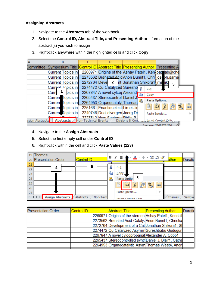#### <span id="page-9-0"></span>**Assigning Abstracts**

- 1. Navigate to the **Abstracts** tab of the workbook
- 2. Select the **Control ID, Abstract Title, and Presenting Author** information of the abstract(s) you wish to assign
- 3. Right-click anywhere within the highlighted cells and click **Copy**

|                 | B                                                   |                                            |                 |                                                                                                       |
|-----------------|-----------------------------------------------------|--------------------------------------------|-----------------|-------------------------------------------------------------------------------------------------------|
|                 |                                                     |                                            |                 | Committee  Symposium Title <mark> Control ID  Abstract Title  Presenting Author  </mark> Presenting A |
|                 | <b>Current Topics in</b>                            |                                            |                 | 2260971 Origins of the Ashay Patel1, Kenipate ab@che                                                  |
|                 | Current Topics in                                   |                                            |                 | 2273562 Brønsted Acid Anon Bunrit1, Chrisjoseph.same                                                  |
|                 | Current Topics in                                   | 2272764 Deve 2 nt Jonathan Shikora1 jms ik |                 | 3                                                                                                     |
|                 | Current Topics in                                   | 2274472 Cu-Catalyzed Sureshb               |                 | Cut                                                                                                   |
|                 | pics in<br>Curre                                    | 2267847 A novel cylcor Alexande            |                 | $\mathsf{Copy}$                                                                                       |
|                 | Current Topics in                                   | 2265437 Stereocontroll Daniel J.           |                 |                                                                                                       |
|                 | Current Topics in                                   | 2264953 Organocatalyt Thomas               | œ               | <b>Paste Options:</b>                                                                                 |
|                 | Current Topics in                                   | 2251661 Enantioselecti Limei Jir           |                 | a<br>Go<br>$\frac{1}{2}$<br>Ď<br>$\overline{f}$ x<br>123                                              |
|                 | Current Topics in                                   | 2249746 Dual divergen Joerg De             |                 | Paste Special                                                                                         |
| ssign Abstracts | $\pm$ Tanian in<br>Abstracts / Non-Technical Events | 2227513 Now Systems Philin R               | Divisions & Cor | Incart Conjad Calle                                                                                   |
|                 |                                                     |                                            |                 | Average: 2268572.286                                                                                  |

- 4. Navigate to the **Assign Abstracts**
- 5. Select the first empty cell under **Control ID**
- 6. Right-click within the cell and click **Paste Values (123)**

| 19 | Themes:                   |                       |   | B Z 喜 ♪ Y A Y ⊞ Y 18 -98 ♂                                                 |               |         |
|----|---------------------------|-----------------------|---|----------------------------------------------------------------------------|---------------|---------|
| 20 | <b>Presentation Order</b> | <b>Control ID</b>     |   |                                                                            | <b>uthor</b>  | Duratio |
| 21 |                           | 5                     |   |                                                                            |               |         |
| 22 |                           |                       | ö | Cut                                                                        |               |         |
| 23 |                           |                       | 自 | <u>Copy</u>                                                                |               |         |
| 24 |                           |                       | Ë | 6<br>Paste Option                                                          |               |         |
| 25 |                           |                       |   | $\frac{1}{123}$<br>ê<br>مہ<br>دی<br>$\frac{1}{2}$<br>西<br>$\overline{f}$ x |               |         |
| 26 |                           |                       |   |                                                                            |               |         |
| 27 |                           |                       |   | Paste Special                                                              |               |         |
| H. | <b>Assign Abstracts</b>   | Non-Tech<br>Abstracts |   | Incart Conjed Cells                                                        | <b>Themes</b> | Sample  |

| <b>Presentation Order</b> | Control ID | Abstract Title                                         | <b>Presenting Author</b> | <b>Duratio</b> |
|---------------------------|------------|--------------------------------------------------------|--------------------------|----------------|
|                           |            | 2260971 Origins of the stereos Ashay Patel1, Kendall   |                          |                |
|                           |            | 2273562 Brønsted Acid-Catalyz Anon Bunrit1, Christia   |                          |                |
|                           |            | 2272764 Development of a Cat Jonathan Shikora1, Sh     |                          |                |
|                           |            | 2274472 Cu-Catalyzed Asymm Sureshbabu Gudugun          |                          |                |
|                           |            | 2267847 A novel cylcopropanat Alexander A. Cobb1       |                          |                |
|                           |            | 2265437 Stereocontrolled synth Daniel J. Blair1, Cathe |                          |                |
|                           |            | 2264953 Organocatalytic Asym Thomas West4, Andre       |                          |                |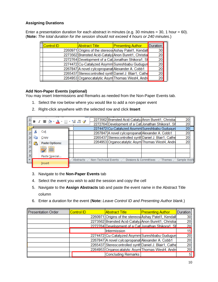#### <span id="page-10-0"></span>**Assigning Durations**

Enter a presentation duration for each abstract in minutes (e.g. 30 minutes = 30, 1 hour = 60). (**Note:** *The total duration for the session should not exceed 4 hours or 240 minutes.*)

| Control ID | <b>Abstract Title</b>                                  | <b>Presenting Author</b> | Duration        |  |
|------------|--------------------------------------------------------|--------------------------|-----------------|--|
|            | 2260971 Origins of the stereos Ashay Patel1, Kendall   |                          | 30              |  |
|            | 2273562 Brønsted Acid-Catalyz Anon Bunrit1, Christia   |                          | 20              |  |
|            | 2272764 Development of a Cat Jonathan Shikora1, Sh     |                          | 20              |  |
|            | 2274472 Cu-Catalyzed Asymm Sureshbabu Gudugun          |                          | 20 <sup>1</sup> |  |
|            | 2267847 A novel cylcopropanat Alexander A. Cobb1       |                          | 20              |  |
|            | 2265437 Stereocontrolled synth Daniel J. Blair1, Cathe |                          | 20              |  |
|            | 2264953 Organocatalytic Asym Thomas West4, Andre       |                          | 20              |  |
|            |                                                        |                          |                 |  |

#### <span id="page-10-1"></span>**Add Non-Paper Events (optional)**

You may insert Intermissions and Remarks as needed from the Non-Paper Events tab.

- 1. Select the row below where you would like to add a non-paper event
- 2. Right-click anywhere with the selected row and click **Insert**

|                | <b>B</b> <i>I</i> ≣ <u>À · A</u> · ⊞ · 18 -28 √ |           |                      |                                                  | 2273562 Brønsted Acid-Catalyz Anon Bunrit1, Christia   | 20          |  |
|----------------|-------------------------------------------------|-----------|----------------------|--------------------------------------------------|--------------------------------------------------------|-------------|--|
| $-23$          |                                                 |           |                      |                                                  | 2272764 Development of a Cat Jonathan Shikora1, Sh     | 20          |  |
|                |                                                 |           |                      |                                                  | 2274472 Cu-Catalyzed Asymm Sureshbabu Gudugun          | 20          |  |
|                | Cut                                             |           |                      | 2267847 A novel cylcopropanat Alexander A. Cobb1 |                                                        | 20          |  |
|                | Copy                                            |           |                      |                                                  | 2265437 Stereocontrolled synth Daniel J. Blair1, Cathe | 20          |  |
|                | <b>Paste Options:</b>                           |           |                      |                                                  | 2264953 Organocatalytic Asym Thomas West4, Andre       | 20          |  |
|                |                                                 |           |                      |                                                  |                                                        |             |  |
|                | 財営                                              |           |                      |                                                  |                                                        |             |  |
| 3 <sub>0</sub> | Paste Special                                   |           |                      |                                                  |                                                        |             |  |
| $\vert \vert$  |                                                 | Abstracts | Non-Technical Events | Divisions & Committees                           | <b>Themes</b>                                          | Sample Work |  |
|                | Insert                                          |           |                      |                                                  |                                                        |             |  |

- 3. Navigate to the **Non-Paper Events** tab
- 4. Select the event you wish to add the session and copy the cell
- 5. Navigate to the **Assign Abstracts** tab and paste the event name in the Abstract Title column
- 6. Enter a duration for the event (**Note:** *Leave Control ID and Presenting Author blank.*)

| <b>Presentation Order</b> | <b>Control ID</b> | <b>Abstract Title</b>                                  | <b>Presenting Author</b> | Duration |
|---------------------------|-------------------|--------------------------------------------------------|--------------------------|----------|
|                           |                   | 2260971 Origins of the stereos Ashay Patel1, Kendall   |                          | 30       |
|                           |                   | 2273562 Brønsted Acid-Catalyz Anon Bunrit1, Christia   |                          | 20       |
|                           |                   | 2272764 Development of a Catl Jonathan Shikora1, Sh    |                          | 20       |
|                           |                   | Intermission                                           |                          | 15       |
|                           |                   | 2274472 Cu-Catalyzed Asymm Sureshbabu Gudugun          |                          | 20       |
|                           |                   | 2267847 A novel cylcopropanat Alexander A. Cobb1       |                          | 20       |
|                           |                   | 2265437 Stereocontrolled synth Daniel J. Blair1, Cathe |                          | 20       |
|                           |                   | 2264953 Organocatalytic Asym Thomas West4, Andre       |                          | 20       |
|                           |                   | Concluding Remarks                                     |                          | 5        |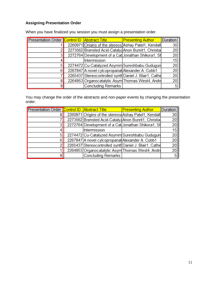### <span id="page-11-0"></span>**Assigning Presentation Order**

| Presentation Order Control ID Abstract Title |                                                  | <b>Presenting Author</b>                               | <b>Duration</b> |
|----------------------------------------------|--------------------------------------------------|--------------------------------------------------------|-----------------|
|                                              |                                                  | 2260971 Origins of the stereos Ashay Patel1, Kendall   | 30              |
|                                              |                                                  | 2273562 Brønsted Acid-Catalyz Anon Bunrit1, Christia   | 20              |
|                                              |                                                  | 2272764 Development of a Cat Jonathan Shikora1, Sh     | 20              |
|                                              | Intermission                                     |                                                        | 15              |
|                                              |                                                  | 2274472 Cu-Catalyzed Asymm Sureshbabu Gudugun          | 20              |
|                                              | 2267847 A novel cylcopropanat Alexander A. Cobb1 |                                                        | 20              |
|                                              |                                                  | 2265437 Stereocontrolled synth Daniel J. Blair1, Cathe | 20              |
|                                              |                                                  | 2264953 Organocatalytic Asym Thomas West4, Andre       | 20              |
|                                              | <b>Concluding Remarks</b>                        |                                                        | 5               |

When you have finalized you session you must assign a presentation order.

You may change the order of the abstracts and non-paper events by changing the presentation order.

| Presentation Order Control ID Abstract Title |                                                  | <b>Presenting Author</b>                               | <b>Duration</b> |
|----------------------------------------------|--------------------------------------------------|--------------------------------------------------------|-----------------|
|                                              |                                                  | 2260971 Origins of the stereos Ashay Patel1, Kendall   | 30              |
|                                              |                                                  | 2273562 Brønsted Acid-Catalyz Anon Bunrit1, Christia   | 20              |
|                                              |                                                  | 2272764 Development of a Cat Jonathan Shikora1, Sh     | 20              |
|                                              | <b>Intermission</b>                              |                                                        | 15              |
|                                              |                                                  | 2274472 Cu-Catalyzed Asymm Sureshbabu Gudugun          | 20              |
|                                              | 2267847 A novel cylcopropanat Alexander A. Cobb1 |                                                        | 20              |
|                                              |                                                  | 2265437 Stereocontrolled synth Daniel J. Blair1, Cathe | 20              |
|                                              |                                                  | 2264953 Organocatalytic Asym Thomas West4, Andre       | 20              |
|                                              | <b>Concluding Remarks</b>                        |                                                        |                 |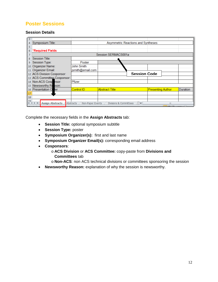## **Poster Sessions**

#### <span id="page-12-0"></span>**Session Details**

| з               |                                                                                                                             |                               |                                       |                          |          |  |
|-----------------|-----------------------------------------------------------------------------------------------------------------------------|-------------------------------|---------------------------------------|--------------------------|----------|--|
| 4               | Symposium Title:                                                                                                            |                               | Asymmetric Reactions and Syntheses    |                          |          |  |
| 5               |                                                                                                                             |                               |                                       |                          |          |  |
| 6               | *Required Fields                                                                                                            |                               |                                       |                          |          |  |
|                 |                                                                                                                             |                               | Session SERMACS001a                   |                          |          |  |
| 8               | Session Title:                                                                                                              |                               |                                       |                          |          |  |
| 9               | Session Type:                                                                                                               | Poster                        |                                       |                          |          |  |
| 10 <sub>1</sub> | Organizer Name:                                                                                                             | John Smith                    |                                       |                          |          |  |
| 11              | Organizer Email:                                                                                                            | jsmith@email.com              |                                       |                          |          |  |
|                 | 12 ACS Division Cosponsor:                                                                                                  |                               | <b>Session Code</b>                   |                          |          |  |
|                 | 13 ACS Committee Cosponsor:                                                                                                 |                               |                                       |                          |          |  |
|                 | 14 Non-ACS Cosp nsor:                                                                                                       | Pfizer                        |                                       |                          |          |  |
|                 | 15 Newsworthy Reason:                                                                                                       |                               |                                       |                          |          |  |
|                 | 16 Presentation O<br>ler                                                                                                    | <b>Control ID</b>             | <b>Abstract Title</b>                 | <b>Presenting Author</b> | Duration |  |
| 17              |                                                                                                                             |                               |                                       |                          |          |  |
| 18              |                                                                                                                             |                               |                                       |                          |          |  |
| 19              | $\blacktriangleright$ $\blacktriangleright$ $\blacktriangleright$ $\blacktriangleright$ $\dashv$<br><b>Assign Abstracts</b> | Abstracts<br>Non-Paper Events | Divisions & Committees<br>$\sqrt{11}$ |                          |          |  |
|                 |                                                                                                                             |                               |                                       | <b>Golden</b> me         |          |  |

Complete the necessary fields in the **Assign Abstracts** tab:

- **Session Title:** optional symposium subtitle
- **Session Type:** poster
- **Symposium Organizer(s):** first and last name
- **Symposium Organizer Email(s):** corresponding email address
- **Cosponsors**:
	- o **ACS Division** or **ACS Committee:** copy-paste from **Divisions and Committees** tab
	- o **Non-ACS**: non ACS technical divisions or committees sponsoring the session
- **Newsworthy Reason:** explanation of why the session is newsworthy.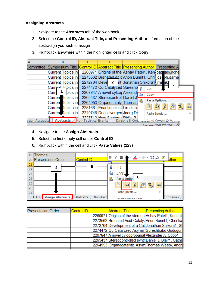#### <span id="page-13-0"></span>**Assigning Abstracts**

- 1. Navigate to the **Abstracts** tab of the workbook
- 2. Select the **Control ID, Abstract Title, and Presenting Author** information of the abstract(s) you wish to assign
- 3. Right-click anywhere within the highlighted cells and click **Copy**

|                 | в                                                                                                     |                                            |                 |                                                      |                          |
|-----------------|-------------------------------------------------------------------------------------------------------|--------------------------------------------|-----------------|------------------------------------------------------|--------------------------|
|                 | Committee  Symposium Title <mark> Control ID  Abstract Title  Presenting Author  </mark> Presenting A |                                            |                 |                                                      |                          |
|                 | <b>Current Topics in</b>                                                                              |                                            |                 | 2260971 Origins of the Ashay Patel1, Kenipate ab@che |                          |
|                 | Current Topics in                                                                                     |                                            |                 | 2273562 Brønsted Acid Anon Bunrit1, Chrisjoseph.same |                          |
|                 | Current Topics in                                                                                     | 2272764 Deve 2 nt Jonathan Shikora1 jms ik |                 | 3                                                    |                          |
|                 | Current Topics in                                                                                     | 2274472 Cu-Catalyzed Sureshb               |                 | Cut                                                  |                          |
|                 | pics in<br>Curre                                                                                      | 2267847 A novel cylcor Alexande            |                 | Copy                                                 |                          |
|                 | Current Topics in                                                                                     | 2265437 Stereocontroll Daniel J.           |                 |                                                      |                          |
|                 | Current Topics in 2264953 Organocatalyt Thomas                                                        |                                            |                 | <b>Paste Options:</b>                                |                          |
|                 | Current Topics in                                                                                     | 2251661 Enantioselecti Limei Jir           |                 | $\overline{f}$ x<br>Ā<br>123                         | a<br>Go<br>$\frac{1}{2}$ |
|                 | Current Topics in                                                                                     | 2249746 Dual divergen Joerg De             |                 | Paste Special                                        |                          |
| ssign Abstracts | ant Tanian in<br><b>Abstracts</b> Non-Technical Events                                                | 2227513 Now Systems Philin R               | Divisions & Cor | Incart Conjed Cells                                  |                          |
|                 |                                                                                                       |                                            |                 | Averane: 2268572.286                                 |                          |

- 4. Navigate to the **Assign Abstracts**
- 5. Select the first empty cell under **Control ID**
- 6. Right-click within the cell and click **Paste Values (123)**

| -19 | Themes:                                          |                       |    | $\cdot$ + $\boxplus$ + $^{\prime}$<br>$B \tI \equiv \spadesuit$        |        |
|-----|--------------------------------------------------|-----------------------|----|------------------------------------------------------------------------|--------|
| -20 | <b>Presentation Order</b>                        | <b>Control ID</b>     |    | $\frac{4.0}{00}$ $\frac{.00}{20}$ $\sqrt{}$                            | uthor  |
| 21  |                                                  |                       |    |                                                                        |        |
| 22  |                                                  | 5                     | ¥  | Cut                                                                    |        |
| 23  |                                                  |                       | E) | Copy                                                                   |        |
| 24  |                                                  |                       | Ë. | 6<br>Paste Option                                                      |        |
| 25  |                                                  |                       |    | $\frac{1}{123}$<br><b>Tar</b><br>ê<br>$\frac{1}{2}$<br>西<br>$f_x$<br>œ |        |
| 26  |                                                  |                       |    |                                                                        |        |
| 27  |                                                  |                       |    | Paste Special<br>٠                                                     |        |
|     | <b>Assign Abstracts</b><br>$\blacktriangleright$ | Non-Tech<br>Abstracts |    | Incart Conjed Cells                                                    | Themes |

|            | <b>Presenting Author</b>                                                                                                                                                                                                                                                                                                                                                                                       |
|------------|----------------------------------------------------------------------------------------------------------------------------------------------------------------------------------------------------------------------------------------------------------------------------------------------------------------------------------------------------------------------------------------------------------------|
|            |                                                                                                                                                                                                                                                                                                                                                                                                                |
|            |                                                                                                                                                                                                                                                                                                                                                                                                                |
|            |                                                                                                                                                                                                                                                                                                                                                                                                                |
|            |                                                                                                                                                                                                                                                                                                                                                                                                                |
|            |                                                                                                                                                                                                                                                                                                                                                                                                                |
|            |                                                                                                                                                                                                                                                                                                                                                                                                                |
|            |                                                                                                                                                                                                                                                                                                                                                                                                                |
| Control ID | <b>Abstract Title</b><br>2260971 Origins of the stereos Ashay Patel1, Kendall<br>2273562 Brønsted Acid-Catalyz Anon Bunrit1, Christia<br>2272764 Development of a Cat Jonathan Shikora1, Sh<br>2274472 Cu-Catalyzed Asymm Sureshbabu Gudugun<br>2267847 A novel cylcopropanat Alexander A. Cobb1<br>2265437 Stereocontrolled synth Daniel J. Blair1, Cathe<br>2264953 Organocatalytic Asym Thomas West4, Andre |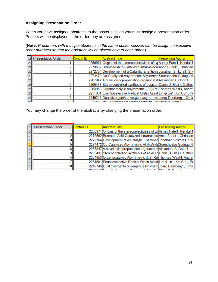#### <span id="page-14-0"></span>**Assigning Presentation Order**

When you have assigned abstracts to the poster session you must assign a presentation order. Posters will be displayed in the order they are assigned.

(**Note:** *Presenters with multiple abstracts in the same poster session can be assign consecutive order numbers so that their posters will be placed next to each other.*)

|                 | 19 Presentation Order | <b>Control ID</b> | <b>Abstract Title</b>                                                     | <b>Presenting Author</b> |
|-----------------|-----------------------|-------------------|---------------------------------------------------------------------------|--------------------------|
| 20              |                       |                   | 2260971 Origins of the stereoselectivities of typ Ashay Patel1, Kendall I |                          |
| 21              |                       |                   | 2273562 Brønsted Acid-Catalyzed Intramolecu Anon Bunrit1, Christian       |                          |
| 22              |                       |                   | 2272764 Development of a Catalytic Enantiose Jonathan Shikora1, She       |                          |
| 23              |                       |                   | 2274472 Cu-Catalyzed Asymmetric AllylicAryla Sureshbabu Gudugunt          |                          |
| 24              |                       |                   | 2267847 A novel cylcopropanation organocatal Alexander A. Cobb1           |                          |
| 25              | R                     |                   | 2265437 Stereocontrolled synthesis of adjacen Daniel J. Blair1, Cather    |                          |
| 26              |                       |                   | 2264953 Organocatalytic Asymmetric [2,3]-Re Thomas West4, Andre           |                          |
| 27              | 8                     |                   | 2251661 Enantioselective Radical Olefin Azirid Limei Jin1, Xin Cui1, Pd   |                          |
| 28              | 9                     |                   | 2249746 Dual divergent/convergent asymmetri Joerg Deerberg1, Omid         |                          |
| 20 <sup>o</sup> | الطم                  |                   | <u>2227512 INow Systems for Organosataktic AsilDhilin D. Dago1</u>        |                          |

You may change the order of the abstracts by changing the presentation order.

| <b>Presentation Order</b> | <b>Control ID</b> | <b>Abstract Title</b>                                                      | <u>Presenting Author</u> |
|---------------------------|-------------------|----------------------------------------------------------------------------|--------------------------|
|                           |                   | 2260971 Origins of the stereoselectivities of typ Ashay Patel1, Kendall II |                          |
|                           |                   | 2273562 Brønsted Acid-Catalyzed Intramolecu Anon Bunrit1, Christian        |                          |
|                           |                   | 2272764 Development of a Catalytic Enantiose Jonathan Shikora1, She        |                          |
|                           |                   | 2274472 Cu-Catalyzed Asymmetric AllylicAryla Sureshbabu Guduguntl          |                          |
|                           |                   | 2267847 A novel cylcopropanation organocatal Alexander A. Cobb1            |                          |
|                           |                   | 2265437 Stereocontrolled synthesis of adjacen Daniel J. Blair1, Cather     |                          |
|                           |                   | 2264953 Organocatalytic Asymmetric [2,3]-Re Thomas West4, Andre            |                          |
|                           |                   | 2251661 Enantioselective Radical Olefin Azirid Limei Jin1, Xin Cui1, Pd    |                          |
| 101                       |                   | 2249746 Dual divergent/convergent asymmetri Joerg Deerberg1, Omid          |                          |
|                           |                   | 0007540 New Orcharge for Opponentation And DESS D. D.                      |                          |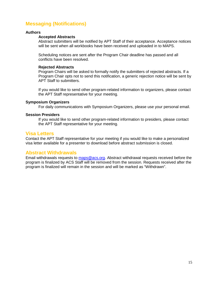## <span id="page-15-0"></span>**Messaging (Notifications)**

#### **Authors**

#### **Accepted Abstracts**

Abstract submitters will be notified by APT Staff of their acceptance. Acceptance notices will be sent when all workbooks have been received and uploaded in to MAPS.

Scheduling notices are sent after the Program Chair deadline has passed and all conflicts have been resolved.

#### **Rejected Abstracts**

Program Chairs will be asked to formally notify the submitters of rejected abstracts. If a Program Chair opts not to send this notification, a generic rejection notice will be sent by APT Staff to submitters.

If you would like to send other program-related information to organizers, please contact the APT Staff representative for your meeting.

#### **Symposium Organizers**

For daily communications with Symposium Organizers, please use your personal email.

#### **Session Presiders**

If you would like to send other program-related information to presiders, please contact the APT Staff representative for your meeting.

#### <span id="page-15-1"></span>**Visa Letters**

Contact the APT Staff representative for your meeting if you would like to make a personalized visa letter available for a presenter to download before abstract submission is closed.

#### <span id="page-15-2"></span>**Abstract Withdrawals**

Email withdrawals requests to [maps@acs.org.](mailto:maps@acs.org) Abstract withdrawal requests received before the program is finalized by ACS Staff will be removed from the session. Requests received after the program is finalized will remain in the session and will be marked as "Withdrawn".